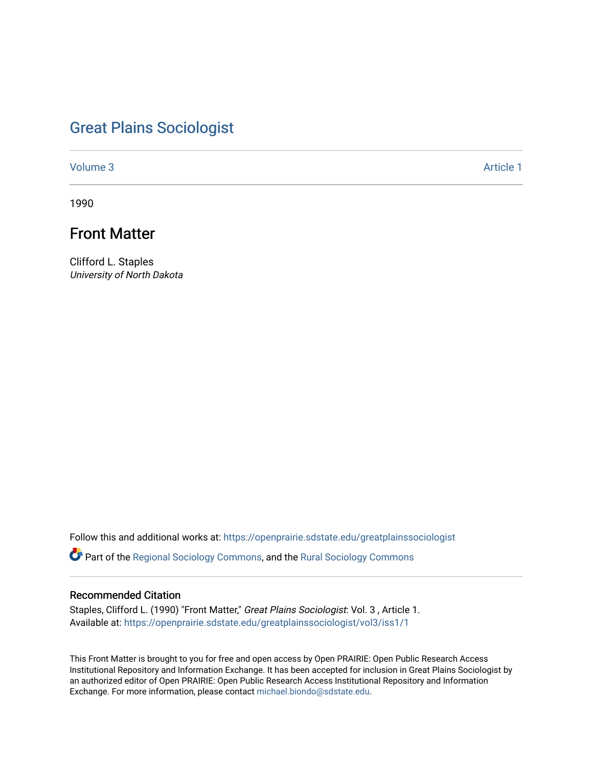# [Great Plains Sociologist](https://openprairie.sdstate.edu/greatplainssociologist)

[Volume 3](https://openprairie.sdstate.edu/greatplainssociologist/vol3) Article 1

1990

# Front Matter

Clifford L. Staples University of North Dakota

Follow this and additional works at: [https://openprairie.sdstate.edu/greatplainssociologist](https://openprairie.sdstate.edu/greatplainssociologist?utm_source=openprairie.sdstate.edu%2Fgreatplainssociologist%2Fvol3%2Fiss1%2F1&utm_medium=PDF&utm_campaign=PDFCoverPages) 

Part of the [Regional Sociology Commons](http://network.bepress.com/hgg/discipline/427?utm_source=openprairie.sdstate.edu%2Fgreatplainssociologist%2Fvol3%2Fiss1%2F1&utm_medium=PDF&utm_campaign=PDFCoverPages), and the [Rural Sociology Commons](http://network.bepress.com/hgg/discipline/428?utm_source=openprairie.sdstate.edu%2Fgreatplainssociologist%2Fvol3%2Fiss1%2F1&utm_medium=PDF&utm_campaign=PDFCoverPages) 

#### Recommended Citation

Staples, Clifford L. (1990) "Front Matter," Great Plains Sociologist: Vol. 3, Article 1. Available at: [https://openprairie.sdstate.edu/greatplainssociologist/vol3/iss1/1](https://openprairie.sdstate.edu/greatplainssociologist/vol3/iss1/1?utm_source=openprairie.sdstate.edu%2Fgreatplainssociologist%2Fvol3%2Fiss1%2F1&utm_medium=PDF&utm_campaign=PDFCoverPages) 

This Front Matter is brought to you for free and open access by Open PRAIRIE: Open Public Research Access Institutional Repository and Information Exchange. It has been accepted for inclusion in Great Plains Sociologist by an authorized editor of Open PRAIRIE: Open Public Research Access Institutional Repository and Information Exchange. For more information, please contact [michael.biondo@sdstate.edu.](mailto:michael.biondo@sdstate.edu)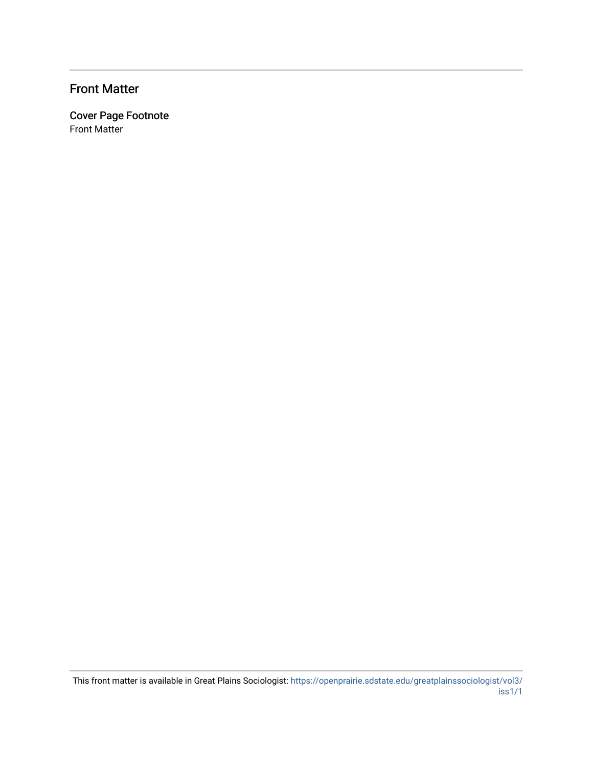## Front Matter

Cover Page Footnote Front Matter

This front matter is available in Great Plains Sociologist: [https://openprairie.sdstate.edu/greatplainssociologist/vol3/](https://openprairie.sdstate.edu/greatplainssociologist/vol3/iss1/1) [iss1/1](https://openprairie.sdstate.edu/greatplainssociologist/vol3/iss1/1)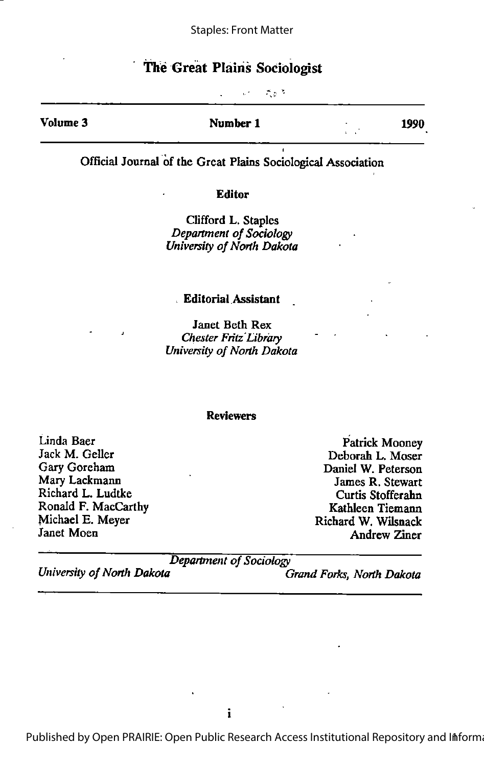#### Staples: Front Matter

## The Great Plains Sociologist

i. in the N

Volume 3 **Number 1** 1990

Official Journal of the Great Plains Sociological Association

#### Editor

Clifford L. Staples Department of Sociology University of North Dakota

#### . Editorial Assistant

Janet Beth Rex Chester Fritz' Library University of North Dakota

#### Reviewers

Linda Baer Jack M. Geller Gary Goreham Mary Lackmann Richard L. Ludtke Ronald F. MacCarthy Michael E. Meyer Janet Moen

Patrick Mooney Deborah L. Moser Daniel W. Peterson James R. Stewart Curtis Stofferahn Kathleen Tiemann Richard W. Wilsnack Andrew Ziner

Department of Sociology<br>Chiversity of North Dakota

Grand Forks, North Dakota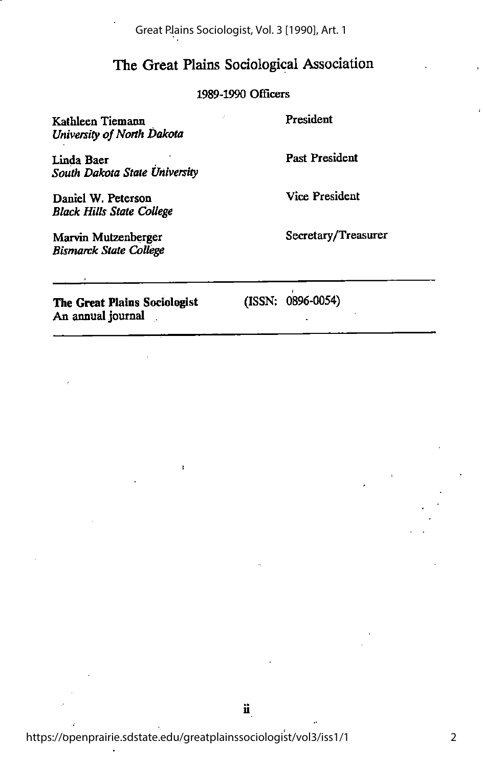Great Plains Sociologist, Vol. 3 [1990], Art. 1

## The Great Plains Sociological Association

### 1989-1990 Officers

Kathleen Tiemann University of North Dakota President

Linda Baer South Dakota State University

Daniel W. Peterson Black Hills State College

Marvin Mutzenberger Bismarck State College Past President

Vice President

Secretary/Treasurer

The Great Plains Sociologist An annual journal ,

(ISSN: 0896-0054)

f,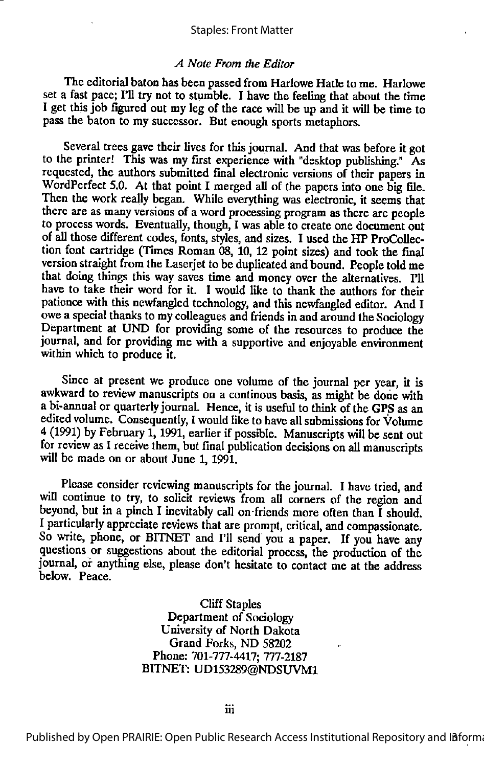#### Staples: Front Matter

#### A Note From the Editor

The editorial baton has been passed from Harlowe Hatle to me. Harlowe set a fast pace; Fil try not to stumble. I have the feeling that about the time I get this job figured out myleg of the race will be up and it will be time to pass the baton to my successor. But enough sports metaphors.

Several trees gave their lives for this journal. And that was before it got to the printer! This was my first experience with "desktop publishing." As requested, the authors submitted final electronic versions of their papers in WordPerfect 5.0. At that point I merged all of the papers into one big file. Then the work really began. While everything was electronic, it seems that there are as many versions of a word processing program as there are people to process words. Eventually, though, I was able to create one document out of all those different codes, fonts, styles, and sizes. I used the HP ProCollection font cartridge (Times Roman 08, 10, 12 point sizes) and took the final version straight from the Laserjet to be duplicated and bound. People told me that doing things this way saves time and money over the alternatives. I'll have to take their word for it. I would like to thank the authors for their patience with this newfangled technology, and this newfangled editor. And I owe a special thanks to my colleagues and friends in and around the Sociology Department at UND for providing some of the resources to produce the journal, and for providing me with a supportive and enjoyable environment within which to produce it.

Since at present we produce one volume of the journal per year, it is awkward to review manuscripts on a continous basis, as might be done with a bi-annual or quarterly journal. Hence, it is useful to think of the GPS as an edited volume. Consequently, I would like to have all submissions for Volume  $4$  (1991) by February 1, 1991, earlier if possible. Manuscripts will be sent out for review as I receive them, but final publication decisions on all manuscripts will be made on or about June 1, 1991.

Please consider reviewing manuscripts for the journal. I have tried, and will continue to try, to solicit reviews from all corners of the region and beyond, but in a pinch I inevitably call on-friends more often than I should. I particularly appreciate reviews that are prompt, critical, and compassionate. So write, phone, or BITNET and I'll send you a paper. If you have any questions or suggestions about the editorial process, the production of the journal, of anything else, please don't hesitate to contact me at the address below. Peace.

> Cliff Staples Department of Sociology University of North Dakota Grand Forks, ND 58202 Phone: 701-777-4417; 777-2187 BITNET: UD153289@NDSUVM1

Published by Open PRAIRIE: Open Public Research Access Institutional Repository and Informa